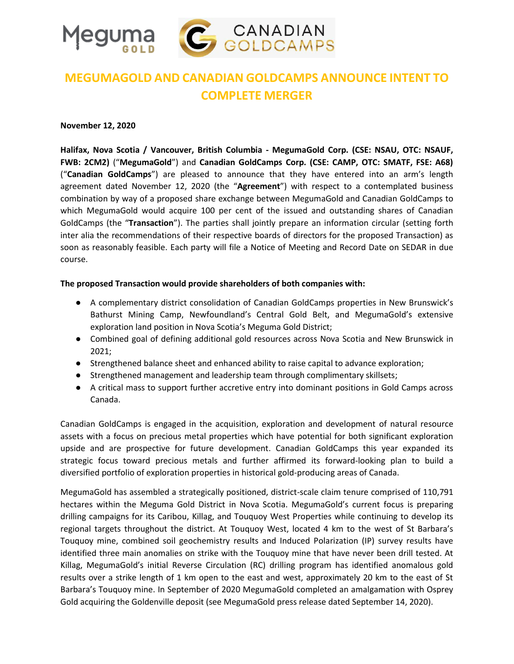

# **MEGUMAGOLD AND CANADIAN GOLDCAMPS ANNOUNCE INTENT TO COMPLETE MERGER**

#### **November 12, 2020**

**Halifax, Nova Scotia / Vancouver, British Columbia - MegumaGold Corp. (CSE: NSAU, OTC: NSAUF, FWB: 2CM2)** ("**MegumaGold**") and **Canadian GoldCamps Corp. (CSE: CAMP, OTC: SMATF, FSE: A68)**  ("**Canadian GoldCamps**") are pleased to announce that they have entered into an arm's length agreement dated November 12, 2020 (the "**Agreement**") with respect to a contemplated business combination by way of a proposed share exchange between MegumaGold and Canadian GoldCamps to which MegumaGold would acquire 100 per cent of the issued and outstanding shares of Canadian GoldCamps (the "**Transaction**"). The parties shall jointly prepare an information circular (setting forth inter alia the recommendations of their respective boards of directors for the proposed Transaction) as soon as reasonably feasible. Each party will file a Notice of Meeting and Record Date on SEDAR in due course.

## **The proposed Transaction would provide shareholders of both companies with:**

- A complementary district consolidation of Canadian GoldCamps properties in New Brunswick's Bathurst Mining Camp, Newfoundland's Central Gold Belt, and MegumaGold's extensive exploration land position in Nova Scotia's Meguma Gold District;
- Combined goal of defining additional gold resources across Nova Scotia and New Brunswick in 2021;
- Strengthened balance sheet and enhanced ability to raise capital to advance exploration;
- Strengthened management and leadership team through complimentary skillsets;
- A critical mass to support further accretive entry into dominant positions in Gold Camps across Canada.

Canadian GoldCamps is engaged in the acquisition, exploration and development of natural resource assets with a focus on precious metal properties which have potential for both significant exploration upside and are prospective for future development. Canadian GoldCamps this year expanded its strategic focus toward precious metals and further affirmed its forward-looking plan to build a diversified portfolio of exploration properties in historical gold-producing areas of Canada.

MegumaGold has assembled a strategically positioned, district-scale claim tenure comprised of 110,791 hectares within the Meguma Gold District in Nova Scotia. MegumaGold's current focus is preparing drilling campaigns for its Caribou, Killag, and Touquoy West Properties while continuing to develop its regional targets throughout the district. At Touquoy West, located 4 km to the west of St Barbara's Touquoy mine, combined soil geochemistry results and Induced Polarization (IP) survey results have identified three main anomalies on strike with the Touquoy mine that have never been drill tested. At Killag, MegumaGold's initial Reverse Circulation (RC) drilling program has identified anomalous gold results over a strike length of 1 km open to the east and west, approximately 20 km to the east of St Barbara's Touquoy mine. In September of 2020 MegumaGold completed an amalgamation with Osprey Gold acquiring the Goldenville deposit (see MegumaGold press release dated September 14, 2020).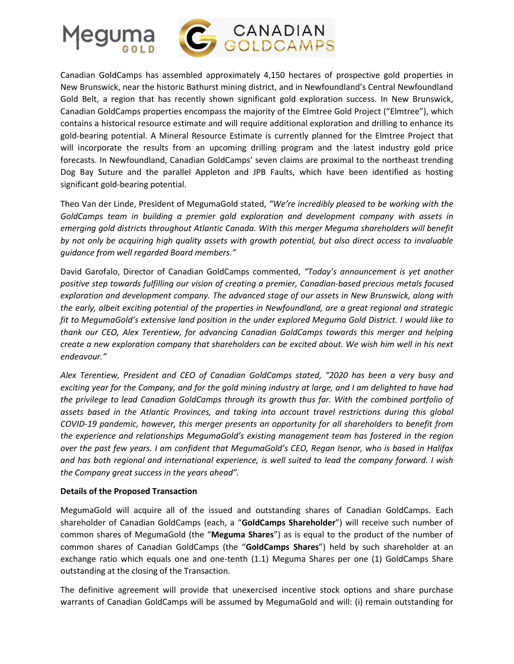

Canadian GoldCamps has assembled approximately 4,150 hectares of prospective gold properties in New Brunswick, near the historic Bathurst mining district, and in Newfoundland's Central Newfoundland Gold Belt, a region that has recently shown significant gold exploration success. In New Brunswick, Canadian GoldCamps properties encompass the majority of the Elmtree Gold Project ("Elmtree"), which contains a historical resource estimate and will require additional exploration and drilling to enhance its gold-bearing potential. A Mineral Resource Estimate is currently planned for the Elmtree Project that will incorporate the results from an upcoming drilling program and the latest industry gold price forecasts. In Newfoundland, Canadian GoldCamps' seven claims are proximal to the northeast trending Dog Bay Suture and the parallel Appleton and JPB Faults, which have been identified as hosting significant gold-bearing potential.

Theo Van der Linde, President of MegumaGold stated, *"We're incredibly pleased to be working with the GoldCamps team in building a premier gold exploration and development company with assets in emerging gold districts throughout Atlantic Canada. With this merger Meguma shareholders will benefit by not only be acquiring high quality assets with growth potential, but also direct access to invaluable guidance from well regarded Board members."*

David Garofalo, Director of Canadian GoldCamps commented, *"Today's announcement is yet another positive step towards fulfilling our vision of creating a premier, Canadian-based precious metals focused exploration and development company. The advanced stage of our assets in New Brunswick, along with the early, albeit exciting potential of the properties in Newfoundland, are a great regional and strategic fit to MegumaGold's extensive land position in the under explored Meguma Gold District. I would like to thank our CEO, Alex Terentiew, for advancing Canadian GoldCamps towards this merger and helping create a new exploration company that shareholders can be excited about. We wish him well in his next endeavour."*

*Alex Terentiew, President and CEO of Canadian GoldCamps stated, "2020 has been a very busy and exciting year for the Company, and for the gold mining industry at large, and I am delighted to have had the privilege to lead Canadian GoldCamps through its growth thus far. With the combined portfolio of assets based in the Atlantic Provinces, and taking into account travel restrictions during this global COVID-19 pandemic, however, this merger presents an opportunity for all shareholders to benefit from the experience and relationships MegumaGold's existing management team has fostered in the region over the past few years. I am confident that MegumaGold's CEO, Regan Isenor, who is based in Halifax and has both regional and international experience, is well suited to lead the company forward. I wish the Company great success in the years ahead".* 

## **Details of the Proposed Transaction**

MegumaGold will acquire all of the issued and outstanding shares of Canadian GoldCamps. Each shareholder of Canadian GoldCamps (each, a "**GoldCamps Shareholder**") will receive such number of common shares of MegumaGold (the "**Meguma Shares**") as is equal to the product of the number of common shares of Canadian GoldCamps (the "**GoldCamps Shares**") held by such shareholder at an exchange ratio which equals one and one-tenth (1.1) Meguma Shares per one (1) GoldCamps Share outstanding at the closing of the Transaction.

The definitive agreement will provide that unexercised incentive stock options and share purchase warrants of Canadian GoldCamps will be assumed by MegumaGold and will: (i) remain outstanding for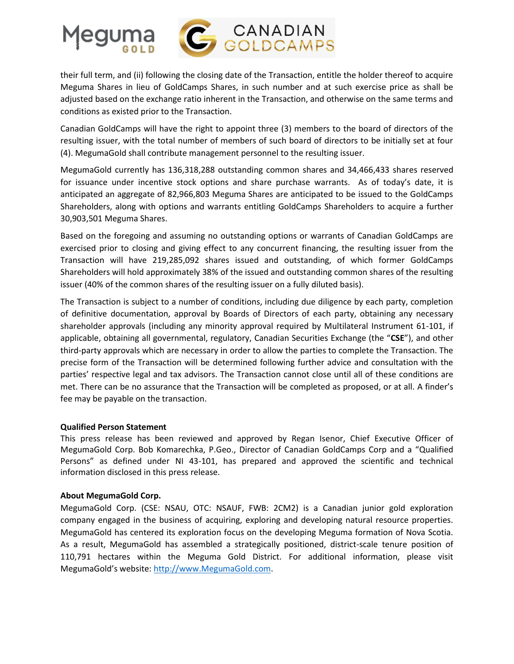

their full term, and (ii) following the closing date of the Transaction, entitle the holder thereof to acquire Meguma Shares in lieu of GoldCamps Shares, in such number and at such exercise price as shall be adjusted based on the exchange ratio inherent in the Transaction, and otherwise on the same terms and conditions as existed prior to the Transaction.

Canadian GoldCamps will have the right to appoint three (3) members to the board of directors of the resulting issuer, with the total number of members of such board of directors to be initially set at four (4). MegumaGold shall contribute management personnel to the resulting issuer.

MegumaGold currently has 136,318,288 outstanding common shares and 34,466,433 shares reserved for issuance under incentive stock options and share purchase warrants. As of today's date, it is anticipated an aggregate of 82,966,803 Meguma Shares are anticipated to be issued to the GoldCamps Shareholders, along with options and warrants entitling GoldCamps Shareholders to acquire a further 30,903,501 Meguma Shares.

Based on the foregoing and assuming no outstanding options or warrants of Canadian GoldCamps are exercised prior to closing and giving effect to any concurrent financing, the resulting issuer from the Transaction will have 219,285,092 shares issued and outstanding, of which former GoldCamps Shareholders will hold approximately 38% of the issued and outstanding common shares of the resulting issuer (40% of the common shares of the resulting issuer on a fully diluted basis).

The Transaction is subject to a number of conditions, including due diligence by each party, completion of definitive documentation, approval by Boards of Directors of each party, obtaining any necessary shareholder approvals (including any minority approval required by Multilateral Instrument 61-101, if applicable, obtaining all governmental, regulatory, Canadian Securities Exchange (the "**CSE**"), and other third-party approvals which are necessary in order to allow the parties to complete the Transaction. The precise form of the Transaction will be determined following further advice and consultation with the parties' respective legal and tax advisors. The Transaction cannot close until all of these conditions are met. There can be no assurance that the Transaction will be completed as proposed, or at all. A finder's fee may be payable on the transaction.

## **Qualified Person Statement**

This press release has been reviewed and approved by Regan Isenor, Chief Executive Officer of MegumaGold Corp. Bob Komarechka, P.Geo., Director of Canadian GoldCamps Corp and a "Qualified Persons" as defined under NI 43-101, has prepared and approved the scientific and technical information disclosed in this press release.

## **About MegumaGold Corp.**

MegumaGold Corp. (CSE: NSAU, OTC: NSAUF, FWB: 2CM2) is a Canadian junior gold exploration company engaged in the business of acquiring, exploring and developing natural resource properties. MegumaGold has centered its exploration focus on the developing Meguma formation of Nova Scotia. As a result, MegumaGold has assembled a strategically positioned, district-scale tenure position of 110,791 hectares within the Meguma Gold District. For additional information, please visit MegumaGold's website: [http://www.MegumaGold.com.](http://www.megumagold.com/)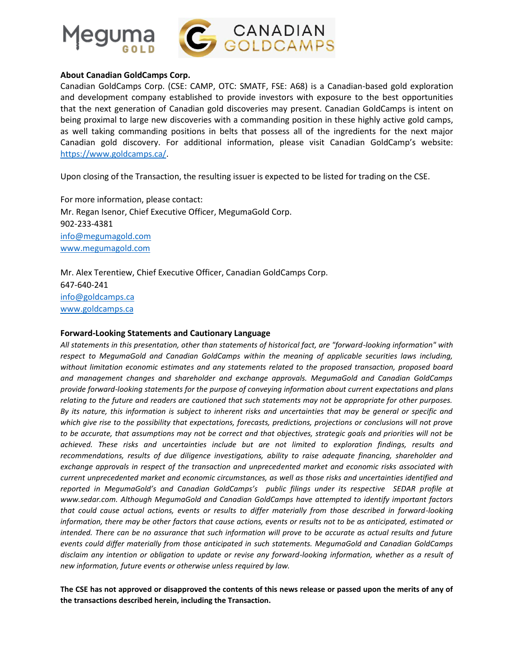

#### **About Canadian GoldCamps Corp.**

Canadian GoldCamps Corp. (CSE: CAMP, OTC: SMATF, FSE: A68) is a Canadian-based gold exploration and development company established to provide investors with exposure to the best opportunities that the next generation of Canadian gold discoveries may present. Canadian GoldCamps is intent on being proximal to large new discoveries with a commanding position in these highly active gold camps, as well taking commanding positions in belts that possess all of the ingredients for the next major Canadian gold discovery. For additional information, please visit Canadian GoldCamp's website: [https://www.goldcamps.ca/.](https://www.goldcamps.ca/)

Upon closing of the Transaction, the resulting issuer is expected to be listed for trading on the CSE.

For more information, please contact: Mr. Regan Isenor, Chief Executive Officer, MegumaGold Corp. 902-233-4381 [info@megumagold.com](mailto:info@megumagold.com) [www.megumagold.com](http://www.megumagold.com/)

Mr. Alex Terentiew, Chief Executive Officer, Canadian GoldCamps Corp. 647-640-241 [info@goldcamps.ca](mailto:info@goldcamps.ca) [www.goldcamps.ca](http://www.goldcamps.ca/)

#### **Forward-Looking Statements and Cautionary Language**

*All statements in this presentation, other than statements of historical fact, are "forward-looking information" with respect to MegumaGold and Canadian GoldCamps within the meaning of applicable securities laws including, without limitation economic estimates and any statements related to the proposed transaction, proposed board and management changes and shareholder and exchange approvals. MegumaGold and Canadian GoldCamps provide forward-looking statements for the purpose of conveying information about current expectations and plans relating to the future and readers are cautioned that such statements may not be appropriate for other purposes. By its nature, this information is subject to inherent risks and uncertainties that may be general or specific and which give rise to the possibility that expectations, forecasts, predictions, projections or conclusions will not prove to be accurate, that assumptions may not be correct and that objectives, strategic goals and priorities will not be achieved. These risks and uncertainties include but are not limited to exploration findings, results and recommendations, results of due diligence investigations, ability to raise adequate financing, shareholder and exchange approvals in respect of the transaction and unprecedented market and economic risks associated with current unprecedented market and economic circumstances, as well as those risks and uncertainties identified and reported in MegumaGold's and Canadian GoldCamps's public filings under its respective SEDAR profile at www.sedar.com. Although MegumaGold and Canadian GoldCamps have attempted to identify important factors that could cause actual actions, events or results to differ materially from those described in forward-looking information, there may be other factors that cause actions, events or results not to be as anticipated, estimated or intended. There can be no assurance that such information will prove to be accurate as actual results and future events could differ materially from those anticipated in such statements. MegumaGold and Canadian GoldCamps disclaim any intention or obligation to update or revise any forward-looking information, whether as a result of new information, future events or otherwise unless required by law.*

**The CSE has not approved or disapproved the contents of this news release or passed upon the merits of any of the transactions described herein, including the Transaction.**